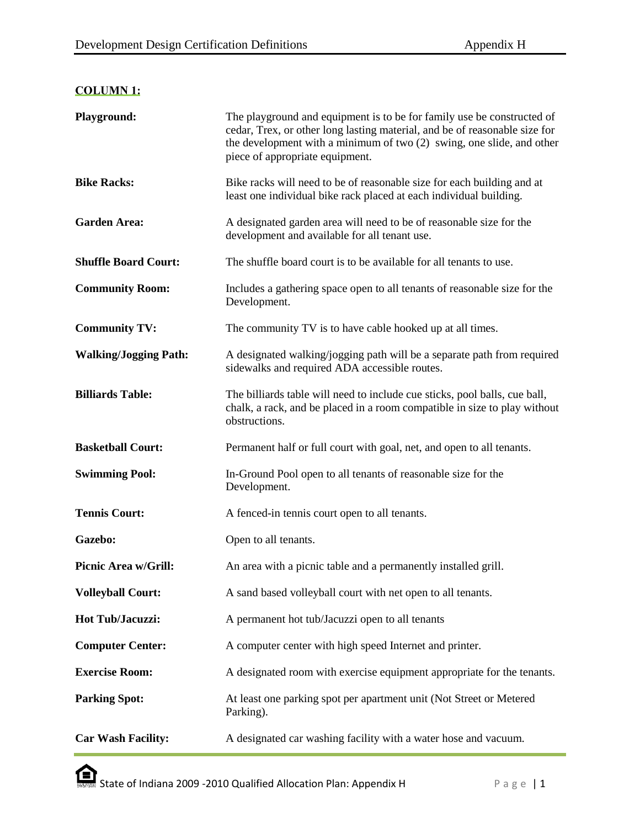## **COLUMN 1:**

| Playground:                  | The playground and equipment is to be for family use be constructed of<br>cedar, Trex, or other long lasting material, and be of reasonable size for<br>the development with a minimum of two (2) swing, one slide, and other<br>piece of appropriate equipment. |
|------------------------------|------------------------------------------------------------------------------------------------------------------------------------------------------------------------------------------------------------------------------------------------------------------|
| <b>Bike Racks:</b>           | Bike racks will need to be of reasonable size for each building and at<br>least one individual bike rack placed at each individual building.                                                                                                                     |
| <b>Garden Area:</b>          | A designated garden area will need to be of reasonable size for the<br>development and available for all tenant use.                                                                                                                                             |
| <b>Shuffle Board Court:</b>  | The shuffle board court is to be available for all tenants to use.                                                                                                                                                                                               |
| <b>Community Room:</b>       | Includes a gathering space open to all tenants of reasonable size for the<br>Development.                                                                                                                                                                        |
| <b>Community TV:</b>         | The community TV is to have cable hooked up at all times.                                                                                                                                                                                                        |
| <b>Walking/Jogging Path:</b> | A designated walking/jogging path will be a separate path from required<br>sidewalks and required ADA accessible routes.                                                                                                                                         |
| <b>Billiards Table:</b>      | The billiards table will need to include cue sticks, pool balls, cue ball,<br>chalk, a rack, and be placed in a room compatible in size to play without<br>obstructions.                                                                                         |
| <b>Basketball Court:</b>     | Permanent half or full court with goal, net, and open to all tenants.                                                                                                                                                                                            |
| <b>Swimming Pool:</b>        | In-Ground Pool open to all tenants of reasonable size for the<br>Development.                                                                                                                                                                                    |
| <b>Tennis Court:</b>         | A fenced-in tennis court open to all tenants.                                                                                                                                                                                                                    |
| Gazebo:                      | Open to all tenants.                                                                                                                                                                                                                                             |
| <b>Picnic Area w/Grill:</b>  | An area with a picnic table and a permanently installed grill.                                                                                                                                                                                                   |
| <b>Volleyball Court:</b>     | A sand based volleyball court with net open to all tenants.                                                                                                                                                                                                      |
| <b>Hot Tub/Jacuzzi:</b>      | A permanent hot tub/Jacuzzi open to all tenants                                                                                                                                                                                                                  |
| <b>Computer Center:</b>      | A computer center with high speed Internet and printer.                                                                                                                                                                                                          |
| <b>Exercise Room:</b>        | A designated room with exercise equipment appropriate for the tenants.                                                                                                                                                                                           |
| <b>Parking Spot:</b>         | At least one parking spot per apartment unit (Not Street or Metered<br>Parking).                                                                                                                                                                                 |
| <b>Car Wash Facility:</b>    | A designated car washing facility with a water hose and vacuum.                                                                                                                                                                                                  |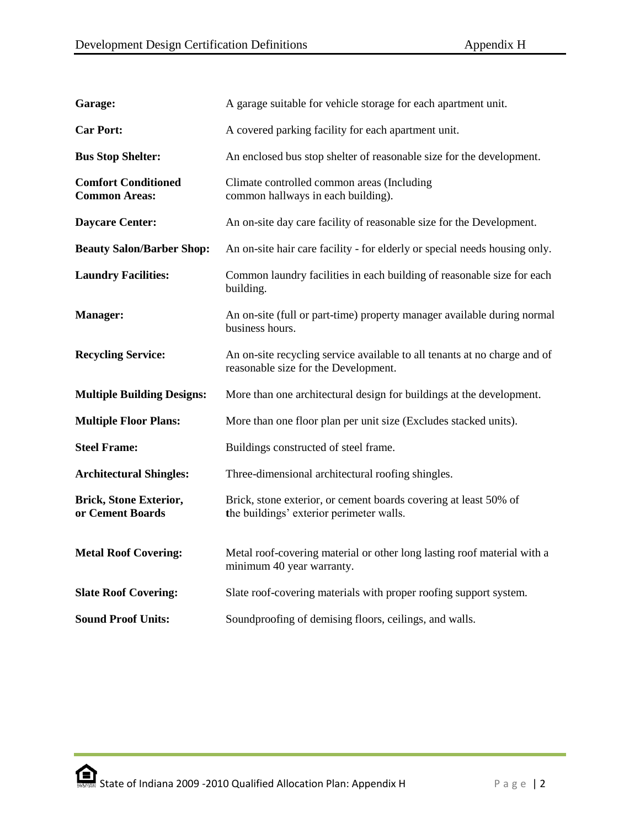| Garage:                                            | A garage suitable for vehicle storage for each apartment unit.                                                    |
|----------------------------------------------------|-------------------------------------------------------------------------------------------------------------------|
| <b>Car Port:</b>                                   | A covered parking facility for each apartment unit.                                                               |
| <b>Bus Stop Shelter:</b>                           | An enclosed bus stop shelter of reasonable size for the development.                                              |
| <b>Comfort Conditioned</b><br><b>Common Areas:</b> | Climate controlled common areas (Including<br>common hallways in each building).                                  |
| <b>Daycare Center:</b>                             | An on-site day care facility of reasonable size for the Development.                                              |
| <b>Beauty Salon/Barber Shop:</b>                   | An on-site hair care facility - for elderly or special needs housing only.                                        |
| <b>Laundry Facilities:</b>                         | Common laundry facilities in each building of reasonable size for each<br>building.                               |
| <b>Manager:</b>                                    | An on-site (full or part-time) property manager available during normal<br>business hours.                        |
| <b>Recycling Service:</b>                          | An on-site recycling service available to all tenants at no charge and of<br>reasonable size for the Development. |
| <b>Multiple Building Designs:</b>                  | More than one architectural design for buildings at the development.                                              |
| <b>Multiple Floor Plans:</b>                       | More than one floor plan per unit size (Excludes stacked units).                                                  |
| <b>Steel Frame:</b>                                | Buildings constructed of steel frame.                                                                             |
| <b>Architectural Shingles:</b>                     | Three-dimensional architectural roofing shingles.                                                                 |
| Brick, Stone Exterior,<br>or Cement Boards         | Brick, stone exterior, or cement boards covering at least 50% of<br>the buildings' exterior perimeter walls.      |
| <b>Metal Roof Covering:</b>                        | Metal roof-covering material or other long lasting roof material with a<br>minimum 40 year warranty.              |
| <b>Slate Roof Covering:</b>                        | Slate roof-covering materials with proper roofing support system.                                                 |
| <b>Sound Proof Units:</b>                          | Soundproofing of demising floors, ceilings, and walls.                                                            |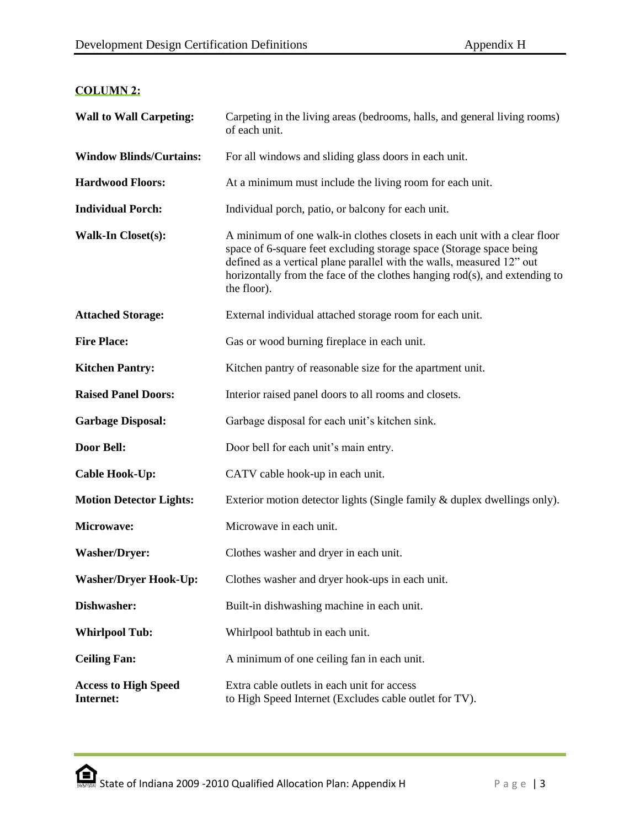## **COLUMN 2:**

| <b>Wall to Wall Carpeting:</b>           | Carpeting in the living areas (bedrooms, halls, and general living rooms)<br>of each unit.                                                                                                                                                                                                                            |
|------------------------------------------|-----------------------------------------------------------------------------------------------------------------------------------------------------------------------------------------------------------------------------------------------------------------------------------------------------------------------|
| <b>Window Blinds/Curtains:</b>           | For all windows and sliding glass doors in each unit.                                                                                                                                                                                                                                                                 |
| <b>Hardwood Floors:</b>                  | At a minimum must include the living room for each unit.                                                                                                                                                                                                                                                              |
| <b>Individual Porch:</b>                 | Individual porch, patio, or balcony for each unit.                                                                                                                                                                                                                                                                    |
| <b>Walk-In Closet(s):</b>                | A minimum of one walk-in clothes closets in each unit with a clear floor<br>space of 6-square feet excluding storage space (Storage space being<br>defined as a vertical plane parallel with the walls, measured 12" out<br>horizontally from the face of the clothes hanging rod(s), and extending to<br>the floor). |
| <b>Attached Storage:</b>                 | External individual attached storage room for each unit.                                                                                                                                                                                                                                                              |
| <b>Fire Place:</b>                       | Gas or wood burning fireplace in each unit.                                                                                                                                                                                                                                                                           |
| <b>Kitchen Pantry:</b>                   | Kitchen pantry of reasonable size for the apartment unit.                                                                                                                                                                                                                                                             |
| <b>Raised Panel Doors:</b>               | Interior raised panel doors to all rooms and closets.                                                                                                                                                                                                                                                                 |
| <b>Garbage Disposal:</b>                 | Garbage disposal for each unit's kitchen sink.                                                                                                                                                                                                                                                                        |
| Door Bell:                               | Door bell for each unit's main entry.                                                                                                                                                                                                                                                                                 |
| <b>Cable Hook-Up:</b>                    | CATV cable hook-up in each unit.                                                                                                                                                                                                                                                                                      |
| <b>Motion Detector Lights:</b>           | Exterior motion detector lights (Single family & duplex dwellings only).                                                                                                                                                                                                                                              |
| Microwave:                               | Microwave in each unit.                                                                                                                                                                                                                                                                                               |
| <b>Washer/Dryer:</b>                     | Clothes washer and dryer in each unit.                                                                                                                                                                                                                                                                                |
| <b>Washer/Dryer Hook-Up:</b>             | Clothes washer and dryer hook-ups in each unit.                                                                                                                                                                                                                                                                       |
| Dishwasher:                              | Built-in dishwashing machine in each unit.                                                                                                                                                                                                                                                                            |
| <b>Whirlpool Tub:</b>                    | Whirlpool bathtub in each unit.                                                                                                                                                                                                                                                                                       |
| <b>Ceiling Fan:</b>                      | A minimum of one ceiling fan in each unit.                                                                                                                                                                                                                                                                            |
| <b>Access to High Speed</b><br>Internet: | Extra cable outlets in each unit for access<br>to High Speed Internet (Excludes cable outlet for TV).                                                                                                                                                                                                                 |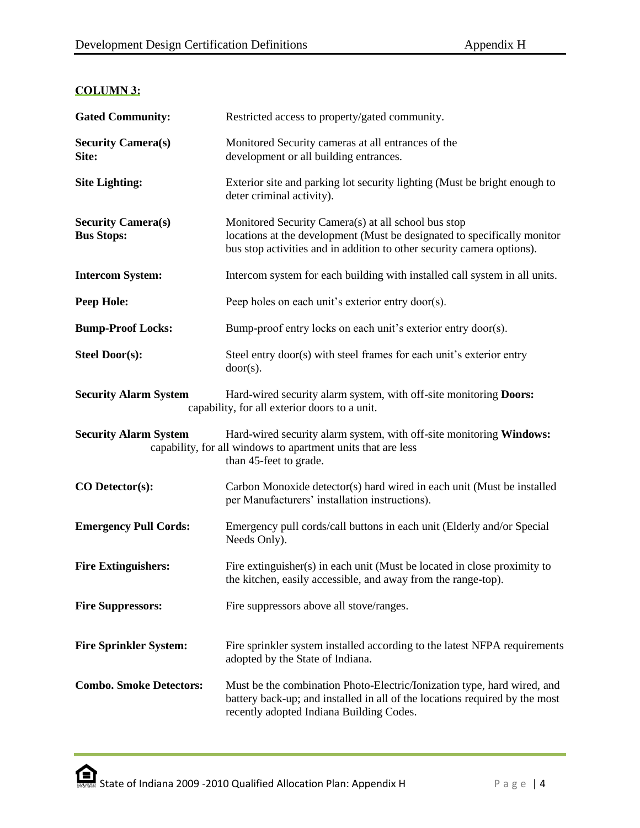## **COLUMN 3:**

| <b>Gated Community:</b>                        | Restricted access to property/gated community.                                                                                                                                                            |
|------------------------------------------------|-----------------------------------------------------------------------------------------------------------------------------------------------------------------------------------------------------------|
| <b>Security Camera(s)</b><br>Site:             | Monitored Security cameras at all entrances of the<br>development or all building entrances.                                                                                                              |
| <b>Site Lighting:</b>                          | Exterior site and parking lot security lighting (Must be bright enough to<br>deter criminal activity).                                                                                                    |
| <b>Security Camera(s)</b><br><b>Bus Stops:</b> | Monitored Security Camera(s) at all school bus stop<br>locations at the development (Must be designated to specifically monitor<br>bus stop activities and in addition to other security camera options). |
| <b>Intercom System:</b>                        | Intercom system for each building with installed call system in all units.                                                                                                                                |
| <b>Peep Hole:</b>                              | Peep holes on each unit's exterior entry door(s).                                                                                                                                                         |
| <b>Bump-Proof Locks:</b>                       | Bump-proof entry locks on each unit's exterior entry door(s).                                                                                                                                             |
| <b>Steel Door(s):</b>                          | Steel entry door(s) with steel frames for each unit's exterior entry<br>$door(s)$ .                                                                                                                       |
| <b>Security Alarm System</b>                   | Hard-wired security alarm system, with off-site monitoring Doors:<br>capability, for all exterior doors to a unit.                                                                                        |
| <b>Security Alarm System</b>                   | Hard-wired security alarm system, with off-site monitoring Windows:<br>capability, for all windows to apartment units that are less<br>than 45-feet to grade.                                             |
| CO Detector(s):                                | Carbon Monoxide detector(s) hard wired in each unit (Must be installed<br>per Manufacturers' installation instructions).                                                                                  |
| <b>Emergency Pull Cords:</b>                   | Emergency pull cords/call buttons in each unit (Elderly and/or Special<br>Needs Only).                                                                                                                    |
| <b>Fire Extinguishers:</b>                     | Fire extinguisher(s) in each unit (Must be located in close proximity to<br>the kitchen, easily accessible, and away from the range-top).                                                                 |
| <b>Fire Suppressors:</b>                       | Fire suppressors above all stove/ranges.                                                                                                                                                                  |
| <b>Fire Sprinkler System:</b>                  | Fire sprinkler system installed according to the latest NFPA requirements<br>adopted by the State of Indiana.                                                                                             |
| <b>Combo. Smoke Detectors:</b>                 | Must be the combination Photo-Electric/Ionization type, hard wired, and<br>battery back-up; and installed in all of the locations required by the most<br>recently adopted Indiana Building Codes.        |